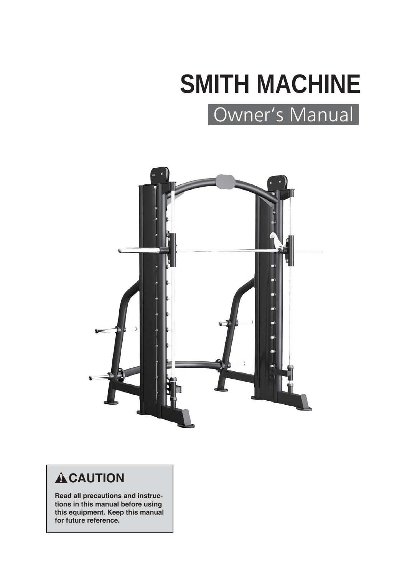# Owner's Manual **SMITH MACHINE**



# **ACAUTION**

**Read all precautions and instructions in this manual before using this equipment. Keep this manual for future reference.**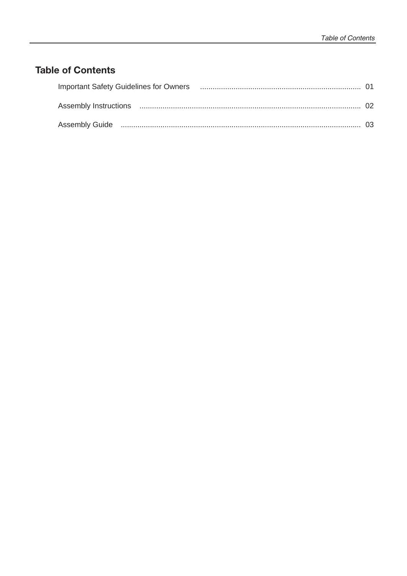## **Table of Contents**

| Important Safety Guidelines for Owners (1990) 1990 (1991) 1991 (1991) 1991 (1991) 1991 (1992) 1991 (1992) 199 |  |
|---------------------------------------------------------------------------------------------------------------|--|
|                                                                                                               |  |
|                                                                                                               |  |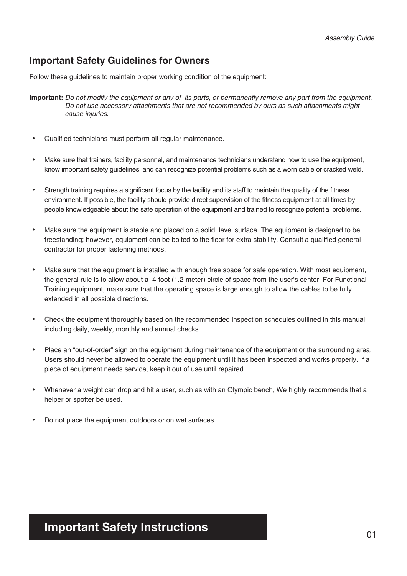### **Important Safety Guidelines for Owners**

Follow these guidelines to maintain proper working condition of the equipment:

**Important:** *Do not modify the equipment or any of its parts, or permanently remove any part from the equipment. Do not use accessory attachments that are not recommended by ours as such attachments might cause injuries.*

- Qualified technicians must perform all regular maintenance.
- Make sure that trainers, facility personnel, and maintenance technicians understand how to use the equipment, know important safety guidelines, and can recognize potential problems such as a worn cable or cracked weld.
- Strength training requires a significant focus by the facility and its staff to maintain the quality of the fitness environment. If possible, the facility should provide direct supervision of the fitness equipment at all times by people knowledgeable about the safe operation of the equipment and trained to recognize potential problems.
- Make sure the equipment is stable and placed on a solid, level surface. The equipment is designed to be freestanding; however, equipment can be bolted to the floor for extra stability. Consult a qualified general contractor for proper fastening methods.
- Make sure that the equipment is installed with enough free space for safe operation. With most equipment, the general rule is to allow about a 4-foot (1.2-meter) circle of space from the user's center. For Functional Training equipment, make sure that the operating space is large enough to allow the cables to be fully extended in all possible directions.
- Check the equipment thoroughly based on the recommended inspection schedules outlined in this manual, including daily, weekly, monthly and annual checks.
- Place an "out-of-order" sign on the equipment during maintenance of the equipment or the surrounding area. Users should never be allowed to operate the equipment until it has been inspected and works properly. If a piece of equipment needs service, keep it out of use until repaired.
- Whenever a weight can drop and hit a user, such as with an Olympic bench, We highly recommends that a helper or spotter be used.
- Do not place the equipment outdoors or on wet surfaces.

# **Important Safety Instructions**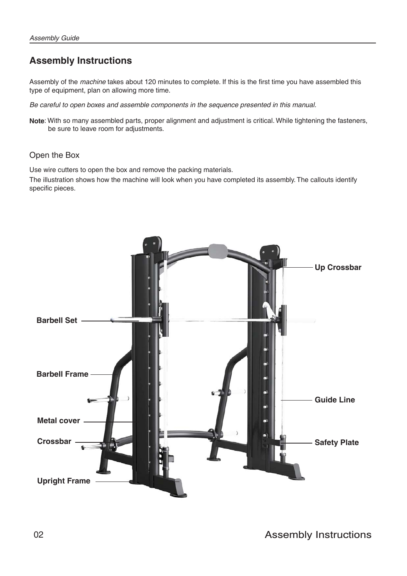## **Assembly Instructions**

Assembly of the *machine* takes about 120 minutes to complete. If this is the first time you have assembled this type of equipment, plan on allowing more time.

*Be careful to open boxes and assemble components in the sequence presented in this manual.*

**Note**: With so many assembled parts, proper alignment and adjustment is critical. While tightening the fasteners, be sure to leave room for adjustments.

#### Open the Box

Use wire cutters to open the box and remove the packing materials.

The illustration shows how the machine will look when you have completed its assembly. The callouts identify specific pieces.